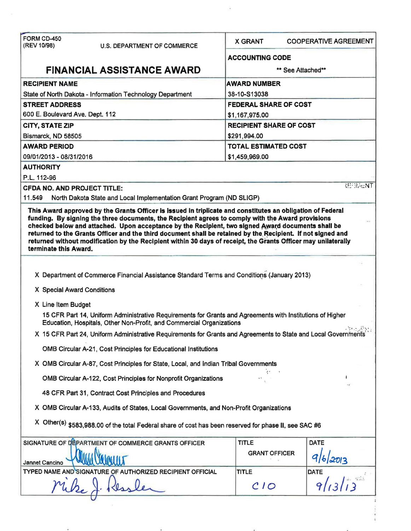| FORM CD-450<br>(REV 10/98)<br><b>U.S. DEPARTMENT OF COMMERCE</b>                                                                                                                                        | <b>X GRANT</b>                                                                                                | <b>COOPERATIVE AGREEMENT</b>   |  |  |
|---------------------------------------------------------------------------------------------------------------------------------------------------------------------------------------------------------|---------------------------------------------------------------------------------------------------------------|--------------------------------|--|--|
|                                                                                                                                                                                                         | <b>ACCOUNTING CODE</b>                                                                                        |                                |  |  |
| <b>FINANCIAL ASSISTANCE AWARD</b>                                                                                                                                                                       | ** See Attached**                                                                                             |                                |  |  |
| <b>RECIPIENT NAME</b>                                                                                                                                                                                   | <b>AWARD NUMBER</b>                                                                                           |                                |  |  |
| State of North Dakota - Information Technology Department                                                                                                                                               | 38-10-S13038                                                                                                  |                                |  |  |
| <b>STREET ADDRESS</b>                                                                                                                                                                                   | <b>FEDERAL SHARE OF COST</b>                                                                                  |                                |  |  |
| 600 E. Boulevard Ave. Dept. 112                                                                                                                                                                         | \$1,167,975.00                                                                                                |                                |  |  |
| CITY, STATE ZIP                                                                                                                                                                                         |                                                                                                               | <b>RECIPIENT SHARE OF COST</b> |  |  |
| Bismarck, ND 58505                                                                                                                                                                                      | \$291,994.00                                                                                                  |                                |  |  |
| <b>AWARD PERIOD</b>                                                                                                                                                                                     | <b>TOTAL ESTIMATED COST</b>                                                                                   |                                |  |  |
| 09/01/2013 - 08/31/2016                                                                                                                                                                                 | \$1,459,969.00                                                                                                |                                |  |  |
| <b>AUTHORITY</b>                                                                                                                                                                                        |                                                                                                               |                                |  |  |
| P.L. 112-96                                                                                                                                                                                             |                                                                                                               |                                |  |  |
| <b>CFDA NO. AND PROJECT TITLE:</b>                                                                                                                                                                      |                                                                                                               | <b>REFRAGNT</b>                |  |  |
| 11.549<br>North Dakota State and Local Implementation Grant Program (ND SLIGP)                                                                                                                          |                                                                                                               |                                |  |  |
|                                                                                                                                                                                                         | returned without modification by the Recipient within 30 days of receipt, the Grants Officer may unilaterally |                                |  |  |
| terminate this Award.                                                                                                                                                                                   |                                                                                                               |                                |  |  |
| X Department of Commerce Financial Assistance Standard Terms and Conditions (January 2013)                                                                                                              |                                                                                                               |                                |  |  |
| X Special Award Conditions                                                                                                                                                                              |                                                                                                               |                                |  |  |
|                                                                                                                                                                                                         |                                                                                                               |                                |  |  |
| X Line Item Budget<br>15 CFR Part 14, Uniform Administrative Requirements for Grants and Agreements with Institutions of Higher<br>Education, Hospitals, Other Non-Profit, and Commercial Organizations |                                                                                                               |                                |  |  |
| X 15 CFR Part 24, Uniform Administrative Requirements for Grants and Agreements to State and Local Governments                                                                                          |                                                                                                               |                                |  |  |
| OMB Circular A-21, Cost Principles for Educational Institutions                                                                                                                                         |                                                                                                               |                                |  |  |
| X OMB Circular A-87, Cost Principles for State, Local, and Indian Tribal Governments                                                                                                                    |                                                                                                               |                                |  |  |
| OMB Circular A-122, Cost Principles for Nonprofit Organizations                                                                                                                                         |                                                                                                               |                                |  |  |
| 48 CFR Part 31, Contract Cost Principles and Procedures                                                                                                                                                 |                                                                                                               |                                |  |  |
| X OMB Circular A-133, Audits of States, Local Governments, and Non-Profit Organizations                                                                                                                 |                                                                                                               |                                |  |  |
| X Other(s) \$583,988.00 of the total Federal share of cost has been reserved for phase II, see SAC #6                                                                                                   |                                                                                                               |                                |  |  |
|                                                                                                                                                                                                         | <b>TITLE</b>                                                                                                  | <b>DATE</b>                    |  |  |
|                                                                                                                                                                                                         | <b>GRANT OFFICER</b>                                                                                          |                                |  |  |
| SIGNATURE OF DEPARTMENT OF COMMERCE GRANTS OFFICER<br>Jannet Cancino<br>TYPED NAME AND SIGNATURE OF AUTHORIZED RECIPIENT OFFICIAL                                                                       | <b>TITLE</b>                                                                                                  | 9/6/2013<br><b>DATE</b>        |  |  |

 $\lambda$